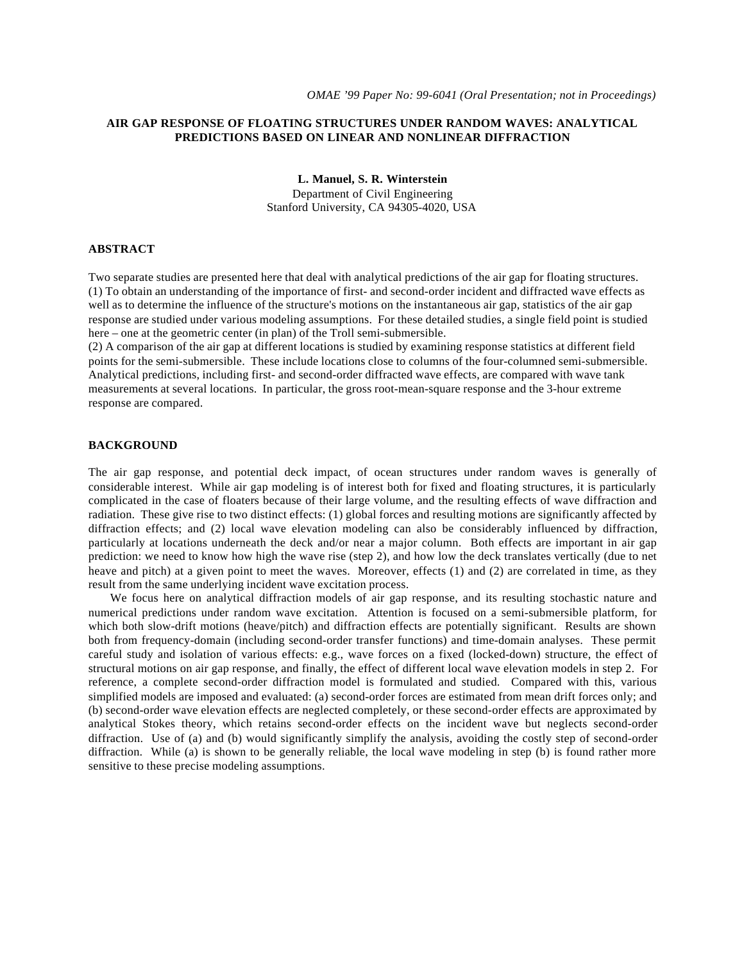# **AIR GAP RESPONSE OF FLOATING STRUCTURES UNDER RANDOM WAVES: ANALYTICAL PREDICTIONS BASED ON LINEAR AND NONLINEAR DIFFRACTION**

**L. Manuel, S. R. Winterstein** Department of Civil Engineering

Stanford University, CA 94305-4020, USA

#### **ABSTRACT**

Two separate studies are presented here that deal with analytical predictions of the air gap for floating structures. (1) To obtain an understanding of the importance of first- and second-order incident and diffracted wave effects as well as to determine the influence of the structure's motions on the instantaneous air gap, statistics of the air gap response are studied under various modeling assumptions. For these detailed studies, a single field point is studied here – one at the geometric center (in plan) of the Troll semi-submersible.

(2) A comparison of the air gap at different locations is studied by examining response statistics at different field points for the semi-submersible. These include locations close to columns of the four-columned semi-submersible. Analytical predictions, including first- and second-order diffracted wave effects, are compared with wave tank measurements at several locations. In particular, the gross root-mean-square response and the 3-hour extreme response are compared.

### **BACKGROUND**

The air gap response, and potential deck impact, of ocean structures under random waves is generally of considerable interest. While air gap modeling is of interest both for fixed and floating structures, it is particularly complicated in the case of floaters because of their large volume, and the resulting effects of wave diffraction and radiation. These give rise to two distinct effects: (1) global forces and resulting motions are significantly affected by diffraction effects; and (2) local wave elevation modeling can also be considerably influenced by diffraction, particularly at locations underneath the deck and/or near a major column. Both effects are important in air gap prediction: we need to know how high the wave rise (step 2), and how low the deck translates vertically (due to net heave and pitch) at a given point to meet the waves. Moreover, effects (1) and (2) are correlated in time, as they result from the same underlying incident wave excitation process.

We focus here on analytical diffraction models of air gap response, and its resulting stochastic nature and numerical predictions under random wave excitation. Attention is focused on a semi-submersible platform, for which both slow-drift motions (heave/pitch) and diffraction effects are potentially significant. Results are shown both from frequency-domain (including second-order transfer functions) and time-domain analyses. These permit careful study and isolation of various effects: e.g., wave forces on a fixed (locked-down) structure, the effect of structural motions on air gap response, and finally, the effect of different local wave elevation models in step 2. For reference, a complete second-order diffraction model is formulated and studied. Compared with this, various simplified models are imposed and evaluated: (a) second-order forces are estimated from mean drift forces only; and (b) second-order wave elevation effects are neglected completely, or these second-order effects are approximated by analytical Stokes theory, which retains second-order effects on the incident wave but neglects second-order diffraction. Use of (a) and (b) would significantly simplify the analysis, avoiding the costly step of second-order diffraction. While (a) is shown to be generally reliable, the local wave modeling in step (b) is found rather more sensitive to these precise modeling assumptions.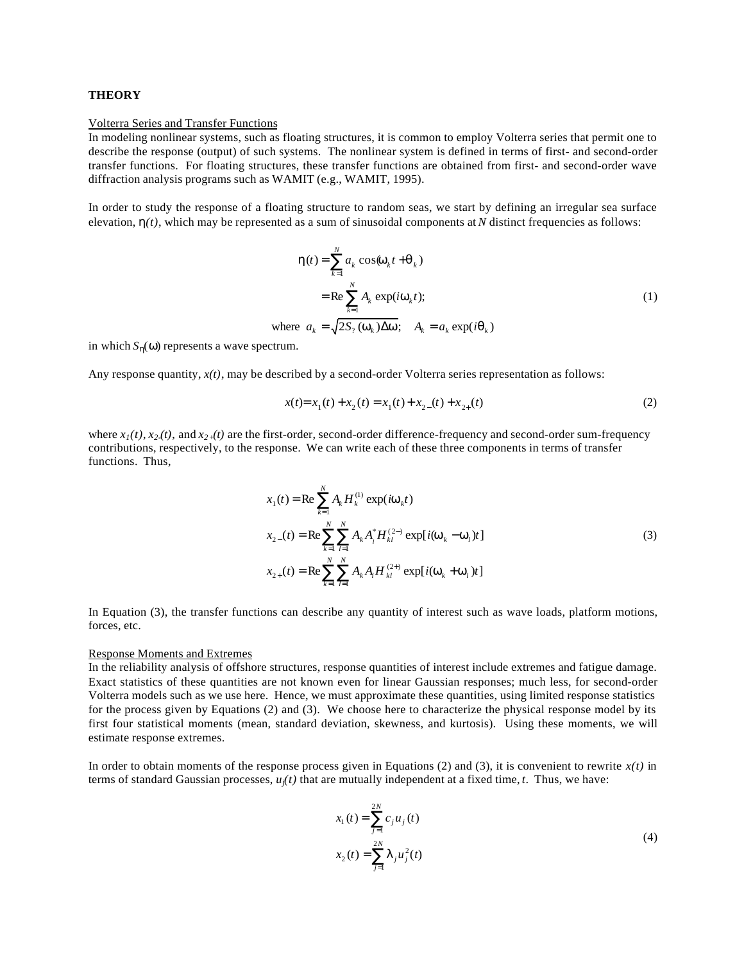# **THEORY**

#### Volterra Series and Transfer Functions

In modeling nonlinear systems, such as floating structures, it is common to employ Volterra series that permit one to describe the response (output) of such systems. The nonlinear system is defined in terms of first- and second-order transfer functions. For floating structures, these transfer functions are obtained from first- and second-order wave diffraction analysis programs such as WAMIT (e.g., WAMIT, 1995).

In order to study the response of a floating structure to random seas, we start by defining an irregular sea surface elevation,  $h(t)$ , which may be represented as a sum of sinusoidal components at *N* distinct frequencies as follows:

$$
\mathbf{h}(t) = \sum_{k=1}^{N} a_k \cos(\mathbf{w}_k t + \mathbf{q}_k)
$$
  
= Re  $\sum_{k=1}^{N} A_k \exp(i\mathbf{w}_k t)$ ;  
where  $a_k = \sqrt{2S_2(\mathbf{w}_k)\Delta \mathbf{w}}$ ;  $A_k = a_k \exp(i\mathbf{q}_k)$  (1)

in which  $S_n(w)$  represents a wave spectrum.

Any response quantity, *x(t)*, may be described by a second-order Volterra series representation as follows:

$$
x(t) = x_1(t) + x_2(t) = x_1(t) + x_2(t) + x_{2+}(t)
$$
\n(2)

where  $x_1(t)$ ,  $x_2(t)$ , and  $x_2(t)$  are the first-order, second-order difference-frequency and second-order sum-frequency contributions, respectively, to the response. We can write each of these three components in terms of transfer functions. Thus,

$$
x_{1}(t) = \text{Re} \sum_{k=1}^{N} A_{k} H_{k}^{(1)} \exp(i\mathbf{w}_{k}t)
$$
  
\n
$$
x_{2-}(t) = \text{Re} \sum_{k=1}^{N} \sum_{l=1}^{N} A_{k} A_{l}^{*} H_{kl}^{(2-)} \exp[i(\mathbf{w}_{k} - \mathbf{w}_{l})t]
$$
  
\n
$$
x_{2+}(t) = \text{Re} \sum_{k=1}^{N} \sum_{l=1}^{N} A_{k} A_{l} H_{kl}^{(2+)} \exp[i(\mathbf{w}_{k} + \mathbf{w}_{l})t]
$$
\n(3)

In Equation (3), the transfer functions can describe any quantity of interest such as wave loads, platform motions, forces, etc.

# Response Moments and Extremes

In the reliability analysis of offshore structures, response quantities of interest include extremes and fatigue damage. Exact statistics of these quantities are not known even for linear Gaussian responses; much less, for second-order Volterra models such as we use here. Hence, we must approximate these quantities, using limited response statistics for the process given by Equations (2) and (3). We choose here to characterize the physical response model by its first four statistical moments (mean, standard deviation, skewness, and kurtosis). Using these moments, we will estimate response extremes.

In order to obtain moments of the response process given in Equations  $(2)$  and  $(3)$ , it is convenient to rewrite  $x(t)$  in terms of standard Gaussian processes,  $u_j(t)$  that are mutually independent at a fixed time, *t*. Thus, we have:

$$
x_1(t) = \sum_{j=1}^{2N} c_j u_j(t)
$$
  

$$
x_2(t) = \sum_{j=1}^{2N} I_j u_j^2(t)
$$
 (4)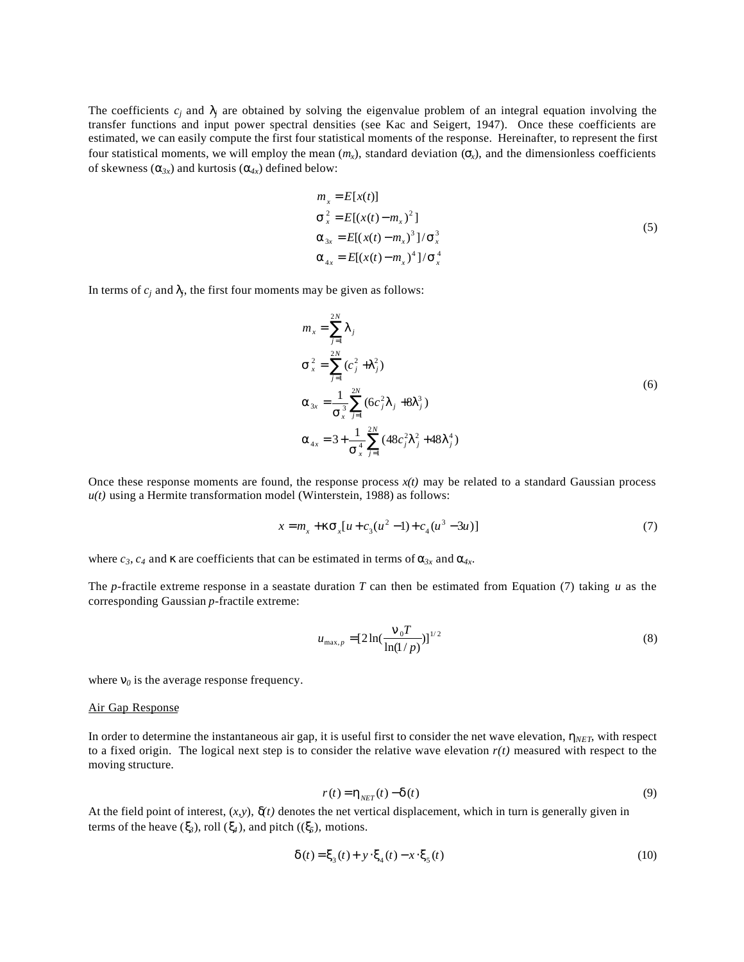The coefficients  $c_j$  and  $\mathbf{l}_j$  are obtained by solving the eigenvalue problem of an integral equation involving the transfer functions and input power spectral densities (see Kac and Seigert, 1947). Once these coefficients are estimated, we can easily compute the first four statistical moments of the response. Hereinafter, to represent the first four statistical moments, we will employ the mean  $(m_x)$ , standard deviation  $(s_x)$ , and the dimensionless coefficients of skewness  $(a_{3x})$  and kurtosis  $(a_{4x})$  defined below:

$$
m_x = E[x(t)]
$$
  
\n
$$
\mathbf{s}_x^2 = E[(x(t) - m_x)^2]
$$
  
\n
$$
\mathbf{a}_{3x} = E[(x(t) - m_x)^3]/\mathbf{s}_x^3
$$
  
\n
$$
\mathbf{a}_{4x} = E[(x(t) - m_x)^4]/\mathbf{s}_x^4
$$
\n(5)

In terms of  $c_j$  and  $\mathbf{I}_j$ , the first four moments may be given as follows:

$$
m_x = \sum_{j=1}^{2N} I_j
$$
  
\n
$$
\mathbf{s}_x^2 = \sum_{j=1}^{2N} (c_j^2 + I_j^2)
$$
  
\n
$$
\mathbf{a}_{3x} = \frac{1}{\mathbf{s}_x^3} \sum_{j=1}^{2N} (6c_j^2 I_j + 8I_j^3)
$$
  
\n
$$
\mathbf{a}_{4x} = 3 + \frac{1}{\mathbf{s}_x^4} \sum_{j=1}^{2N} (48c_j^2 I_j^2 + 48I_j^4)
$$
\n(6)

Once these response moments are found, the response process  $x(t)$  may be related to a standard Gaussian process  $u(t)$  using a Hermite transformation model (Winterstein, 1988) as follows:

$$
x = m_x + \mathbf{ks}_x[u + c_3(u^2 - 1) + c_4(u^3 - 3u)]
$$
\n(7)

where  $c_3$ ,  $c_4$  and  $\kappa$  are coefficients that can be estimated in terms of  $a_{3x}$  and  $a_{4x}$ .

The *p*-fractile extreme response in a seastate duration *T* can then be estimated from Equation (7) taking *u* as the corresponding Gaussian *p*-fractile extreme:

$$
u_{\max,p} = [2\ln(\frac{\mathbf{n}_0 T}{\ln(1/p)})]^{1/2}
$$
 (8)

where  $\mathbf{n}_0$  is the average response frequency.

#### Air Gap Response

In order to determine the instantaneous air gap, it is useful first to consider the net wave elevation,  $h_{NET}$ , with respect to a fixed origin. The logical next step is to consider the relative wave elevation  $r(t)$  measured with respect to the moving structure.

$$
r(t) = \mathbf{h}_{NET}(t) - \mathbf{d}(t) \tag{9}
$$

At the field point of interest,  $(x,y)$ ,  $\dot{d}t$  denotes the net vertical displacement, which in turn is generally given in terms of the heave  $(\mathbf{x}_3)$ , roll  $(\mathbf{x}_4)$ , and pitch  $((\mathbf{x}_5)$ , motions.

$$
\mathbf{d}(t) = \mathbf{x}_3(t) + \mathbf{y} \cdot \mathbf{x}_4(t) - x \cdot \mathbf{x}_5(t) \tag{10}
$$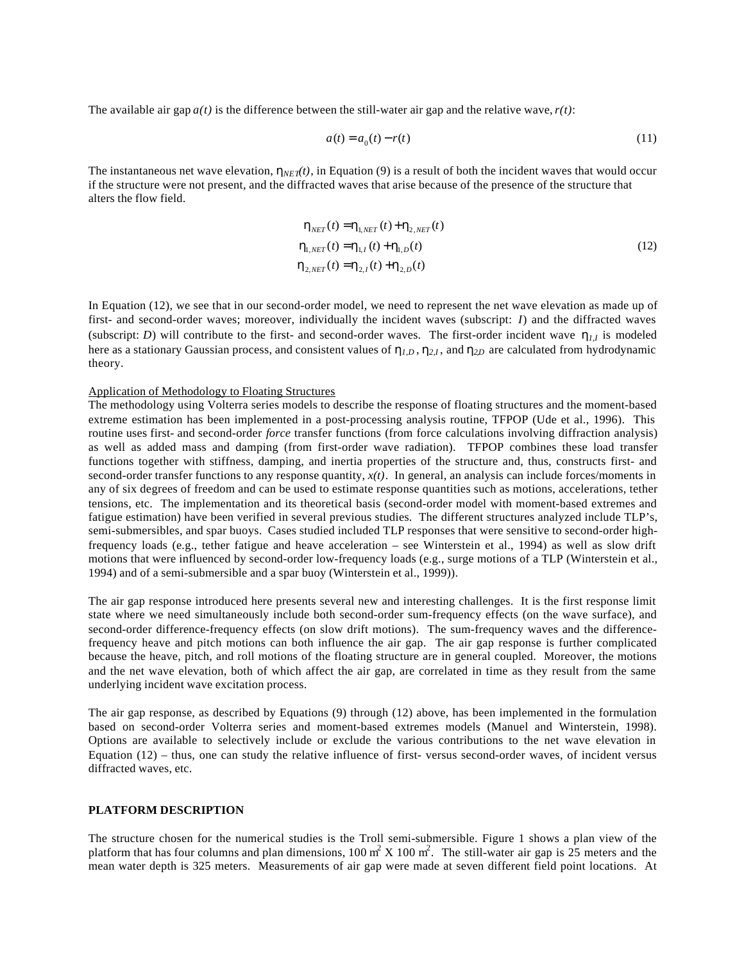The available air gap  $a(t)$  is the difference between the still-water air gap and the relative wave,  $r(t)$ :

$$
a(t) = a_0(t) - r(t) \tag{11}
$$

The instantaneous net wave elevation,  $h_{NET}(t)$ , in Equation (9) is a result of both the incident waves that would occur if the structure were not present, and the diffracted waves that arise because of the presence of the structure that alters the flow field.

$$
\mathbf{h}_{NET}(t) = \mathbf{h}_{1,NET}(t) + \mathbf{h}_{2,NET}(t)
$$
\n
$$
\mathbf{h}_{1,NET}(t) = \mathbf{h}_{1,1}(t) + \mathbf{h}_{1,D}(t)
$$
\n
$$
\mathbf{h}_{2,NET}(t) = \mathbf{h}_{2,1}(t) + \mathbf{h}_{2,D}(t)
$$
\n(12)

In Equation (12), we see that in our second-order model, we need to represent the net wave elevation as made up of first- and second-order waves; moreover, individually the incident waves (subscript: *I*) and the diffracted waves (subscript: *D*) will contribute to the first- and second-order waves. The first-order incident wave  $h_{l,l}$  is modeled here as a stationary Gaussian process, and consistent values of *h1,D* , *h2,I* , and *h2,D* are calculated from hydrodynamic theory.

### Application of Methodology to Floating Structures

The methodology using Volterra series models to describe the response of floating structures and the moment-based extreme estimation has been implemented in a post-processing analysis routine, TFPOP (Ude et al., 1996). This routine uses first- and second-order *force* transfer functions (from force calculations involving diffraction analysis) as well as added mass and damping (from first-order wave radiation). TFPOP combines these load transfer functions together with stiffness, damping, and inertia properties of the structure and, thus, constructs first- and second-order transfer functions to any response quantity,  $x(t)$ . In general, an analysis can include forces/moments in any of six degrees of freedom and can be used to estimate response quantities such as motions, accelerations, tether tensions, etc. The implementation and its theoretical basis (second-order model with moment-based extremes and fatigue estimation) have been verified in several previous studies. The different structures analyzed include TLP's, semi-submersibles, and spar buoys. Cases studied included TLP responses that were sensitive to second-order highfrequency loads (e.g., tether fatigue and heave acceleration – see Winterstein et al., 1994) as well as slow drift motions that were influenced by second-order low-frequency loads (e.g., surge motions of a TLP (Winterstein et al., 1994) and of a semi-submersible and a spar buoy (Winterstein et al., 1999)).

The air gap response introduced here presents several new and interesting challenges. It is the first response limit state where we need simultaneously include both second-order sum-frequency effects (on the wave surface), and second-order difference-frequency effects (on slow drift motions). The sum-frequency waves and the differencefrequency heave and pitch motions can both influence the air gap. The air gap response is further complicated because the heave, pitch, and roll motions of the floating structure are in general coupled. Moreover, the motions and the net wave elevation, both of which affect the air gap, are correlated in time as they result from the same underlying incident wave excitation process.

The air gap response, as described by Equations (9) through (12) above, has been implemented in the formulation based on second-order Volterra series and moment-based extremes models (Manuel and Winterstein, 1998). Options are available to selectively include or exclude the various contributions to the net wave elevation in Equation (12) – thus, one can study the relative influence of first- versus second-order waves, of incident versus diffracted waves, etc.

# **PLATFORM DESCRIPTION**

The structure chosen for the numerical studies is the Troll semi-submersible. Figure 1 shows a plan view of the platform that has four columns and plan dimensions,  $100 \text{ m}^2$  X  $100 \text{ m}^2$ . The still-water air gap is  $25$  meters and the mean water depth is 325 meters. Measurements of air gap were made at seven different field point locations. At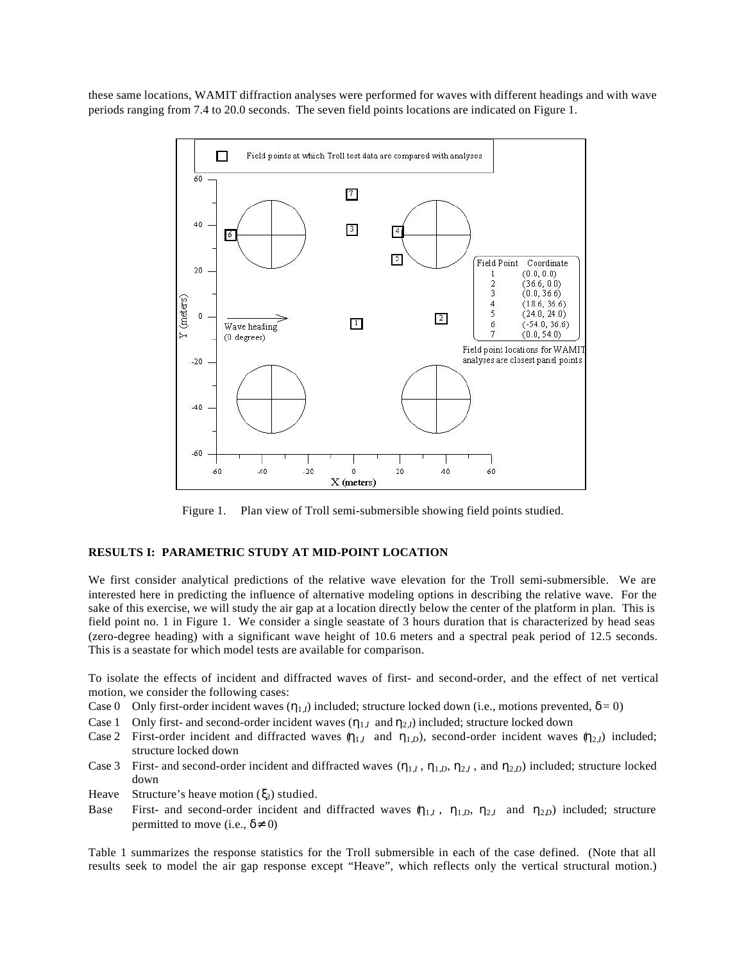these same locations, WAMIT diffraction analyses were performed for waves with different headings and with wave periods ranging from 7.4 to 20.0 seconds. The seven field points locations are indicated on Figure 1.



Figure 1. Plan view of Troll semi-submersible showing field points studied.

#### **RESULTS I: PARAMETRIC STUDY AT MID-POINT LOCATION**

We first consider analytical predictions of the relative wave elevation for the Troll semi-submersible. We are interested here in predicting the influence of alternative modeling options in describing the relative wave. For the sake of this exercise, we will study the air gap at a location directly below the center of the platform in plan. This is field point no. 1 in Figure 1. We consider a single seastate of 3 hours duration that is characterized by head seas (zero-degree heading) with a significant wave height of 10.6 meters and a spectral peak period of 12.5 seconds. This is a seastate for which model tests are available for comparison.

To isolate the effects of incident and diffracted waves of first- and second-order, and the effect of net vertical motion, we consider the following cases:

- Case 0 Only first-order incident waves  $(h_1)$  included; structure locked down (i.e., motions prevented,  $d=0$ )
- Case 1 Only first- and second-order incident waves  $(h_{1,I}$  and  $h_{2,I}$ ) included; structure locked down
- Case 2 First-order incident and diffracted waves  $(h_{1,I}$  and  $h_{1,D}$ ), second-order incident waves  $(h_{2,I})$  included; structure locked down
- Case 3 First- and second-order incident and diffracted waves  $(h_{1,I}, h_{1,D}, h_{2,I})$ , and  $h_{2,D}$ ) included; structure locked down
- Heave Structure's heave motion (*x3*) studied.
- Base First- and second-order incident and diffracted waves  $(h_{1,I}, h_{1,D}, h_{2,I}$  and  $h_{2,D})$  included; structure permitted to move (i.e.,  $d \neq 0$ )

Table 1 summarizes the response statistics for the Troll submersible in each of the case defined. (Note that all results seek to model the air gap response except "Heave", which reflects only the vertical structural motion.)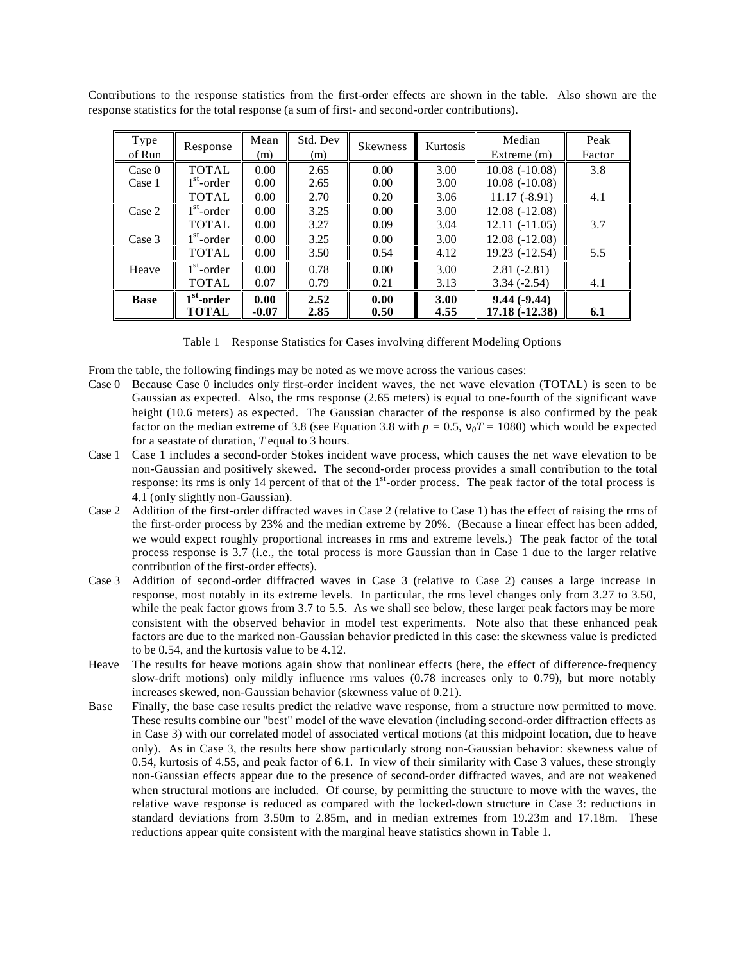Contributions to the response statistics from the first-order effects are shown in the table. Also shown are the response statistics for the total response (a sum of first- and second-order contributions).

| Type        |                                | Mean    | Std. Dev | <b>Skewness</b> | <b>Kurtosis</b> | Median          | Peak   |
|-------------|--------------------------------|---------|----------|-----------------|-----------------|-----------------|--------|
| of Run      | Response                       | (m)     | (m)      |                 |                 | Extreme $(m)$   | Factor |
| Case 0      | <b>TOTAL</b>                   | 0.00    | 2.65     | 0.00            | 3.00            | $10.08(-10.08)$ | 3.8    |
| Case 1      | $1st$ -order                   | 0.00    | 2.65     | 0.00            | 3.00            | $10.08(-10.08)$ |        |
|             | <b>TOTAL</b>                   | 0.00    | 2.70     | 0.20            | 3.06            | $11.17(-8.91)$  | 4.1    |
| Case 2      | $1st$ -order                   | 0.00    | 3.25     | 0.00            | 3.00            | $12.08(-12.08)$ |        |
|             | <b>TOTAL</b>                   | 0.00    | 3.27     | 0.09            | 3.04            | $12.11(-11.05)$ | 3.7    |
| Case 3      | $1st$ -order                   | 0.00    | 3.25     | 0.00            | 3.00            | $12.08(-12.08)$ |        |
|             | <b>TOTAL</b>                   | 0.00    | 3.50     | 0.54            | 4.12            | 19.23 (-12.54)  | 5.5    |
| Heave       | $1st$ -order                   | 0.00    | 0.78     | 0.00            | 3.00            | $2.81(-2.81)$   |        |
|             | TOTAL                          | 0.07    | 0.79     | 0.21            | 3.13            | $3.34(-2.54)$   | 4.1    |
| <b>Base</b> | $\overline{1}^{\rm st}$ -order | 0.00    | 2.52     | 0.00            | 3.00            | $9.44(-9.44)$   |        |
|             | <b>TOTAL</b>                   | $-0.07$ | 2.85     | 0.50            | 4.55            | $17.18(-12.38)$ | 6.1    |

Table 1 Response Statistics for Cases involving different Modeling Options

From the table, the following findings may be noted as we move across the various cases:

- Case 0 Because Case 0 includes only first-order incident waves, the net wave elevation (TOTAL) is seen to be Gaussian as expected. Also, the rms response (2.65 meters) is equal to one-fourth of the significant wave height (10.6 meters) as expected. The Gaussian character of the response is also confirmed by the peak factor on the median extreme of 3.8 (see Equation 3.8 with  $p = 0.5$ ,  $n_0T = 1080$ ) which would be expected for a seastate of duration, *T* equal to 3 hours.
- Case 1 Case 1 includes a second-order Stokes incident wave process, which causes the net wave elevation to be non-Gaussian and positively skewed. The second-order process provides a small contribution to the total response: its rms is only 14 percent of that of the 1<sup>st</sup>-order process. The peak factor of the total process is 4.1 (only slightly non-Gaussian).
- Case 2 Addition of the first-order diffracted waves in Case 2 (relative to Case 1) has the effect of raising the rms of the first-order process by 23% and the median extreme by 20%. (Because a linear effect has been added, we would expect roughly proportional increases in rms and extreme levels.) The peak factor of the total process response is 3.7 (i.e., the total process is more Gaussian than in Case 1 due to the larger relative contribution of the first-order effects).
- Case 3 Addition of second-order diffracted waves in Case 3 (relative to Case 2) causes a large increase in response, most notably in its extreme levels. In particular, the rms level changes only from 3.27 to 3.50, while the peak factor grows from 3.7 to 5.5. As we shall see below, these larger peak factors may be more consistent with the observed behavior in model test experiments. Note also that these enhanced peak factors are due to the marked non-Gaussian behavior predicted in this case: the skewness value is predicted to be 0.54, and the kurtosis value to be 4.12.
- Heave The results for heave motions again show that nonlinear effects (here, the effect of difference-frequency slow-drift motions) only mildly influence rms values (0.78 increases only to 0.79), but more notably increases skewed, non-Gaussian behavior (skewness value of 0.21).
- Base Finally, the base case results predict the relative wave response, from a structure now permitted to move. These results combine our "best" model of the wave elevation (including second-order diffraction effects as in Case 3) with our correlated model of associated vertical motions (at this midpoint location, due to heave only). As in Case 3, the results here show particularly strong non-Gaussian behavior: skewness value of 0.54, kurtosis of 4.55, and peak factor of 6.1. In view of their similarity with Case 3 values, these strongly non-Gaussian effects appear due to the presence of second-order diffracted waves, and are not weakened when structural motions are included. Of course, by permitting the structure to move with the waves, the relative wave response is reduced as compared with the locked-down structure in Case 3: reductions in standard deviations from 3.50m to 2.85m, and in median extremes from 19.23m and 17.18m. These reductions appear quite consistent with the marginal heave statistics shown in Table 1.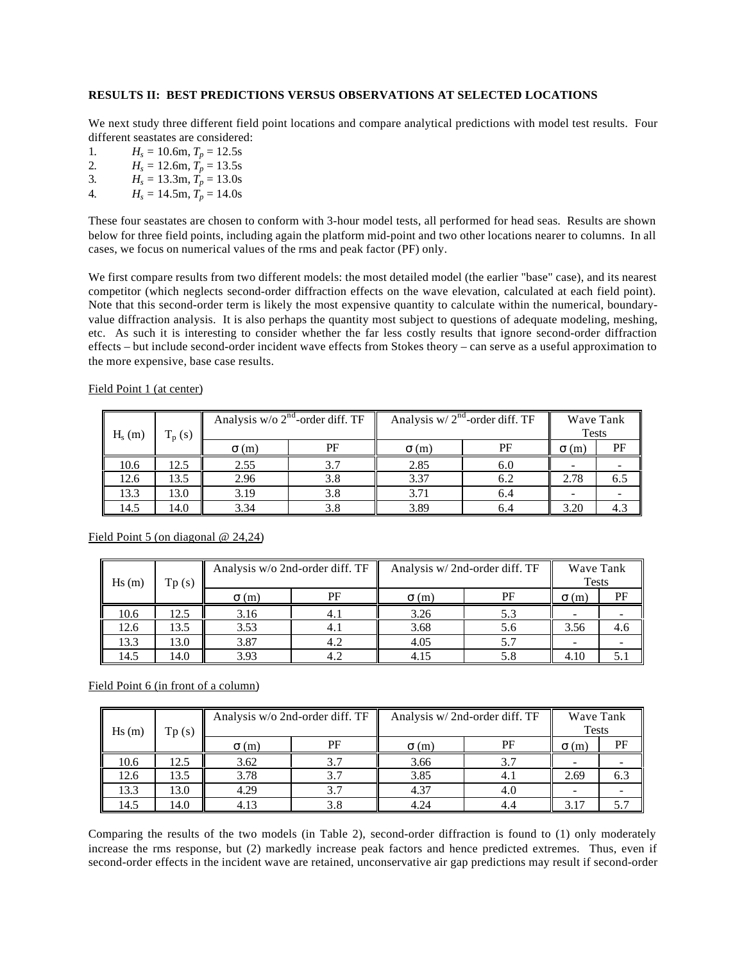# **RESULTS II: BEST PREDICTIONS VERSUS OBSERVATIONS AT SELECTED LOCATIONS**

We next study three different field point locations and compare analytical predictions with model test results. Four different seastates are considered:

- 1.  $H_s = 10.6 \text{m}, T_p = 12.5 \text{s}$
- 2.  $H_s = 12.6 \text{m}, T_p = 13.5 \text{s}$
- 3.  $H_s = 13.3 \text{m}, T_p = 13.0 \text{s}$
- 4.  $H_s = 14.5 \text{m}, T_p = 14.0 \text{s}$

These four seastates are chosen to conform with 3-hour model tests, all performed for head seas. Results are shown below for three field points, including again the platform mid-point and two other locations nearer to columns. In all cases, we focus on numerical values of the rms and peak factor (PF) only.

We first compare results from two different models: the most detailed model (the earlier "base" case), and its nearest competitor (which neglects second-order diffraction effects on the wave elevation, calculated at each field point). Note that this second-order term is likely the most expensive quantity to calculate within the numerical, boundaryvalue diffraction analysis. It is also perhaps the quantity most subject to questions of adequate modeling, meshing, etc. As such it is interesting to consider whether the far less costly results that ignore second-order diffraction effects – but include second-order incident wave effects from Stokes theory – can serve as a useful approximation to the more expensive, base case results.

| $H_s(m)$ | $T_p(s)$ | Analysis w/o $2nd$ -order diff. TF |     | Analysis w/ $2nd$ -order diff. TF | Wave Tank<br><b>Tests</b> |              |     |
|----------|----------|------------------------------------|-----|-----------------------------------|---------------------------|--------------|-----|
|          |          | $\sigma(m)$                        | PF  | $\sigma(m)$                       | PF                        | $\sigma$ (m) | PF  |
| 10.6     | 12.5     | 2.55                               | 3.7 | 2.85                              | 6.0                       |              |     |
| 12.6     | 13.5     | 2.96                               | 3.8 | 3.37                              | 6.2                       | 2.78         | 6.5 |
| 13.3     | 13.0     | 3.19                               | 3.8 | 3.71                              | 6.4                       | -            |     |
| 14.5     | 14.0     | 3.34                               | 3.8 | 3.89                              | 6.4                       | 3.20         | 4.3 |

# Field Point 1 (at center)

| Hs(m) | Tp(s) | Analysis w/o 2nd-order diff. TF |     | Analysis w/2nd-order diff. TF |     | Wave Tank<br><b>Tests</b> |     |
|-------|-------|---------------------------------|-----|-------------------------------|-----|---------------------------|-----|
|       |       | $\sigma$ (m)                    | PF  | $\sigma(m)$                   | PF  | $\sigma$ (m)              | PF  |
| 10.6  | 12.5  | 3.16                            | 4.1 | 3.26                          | 5.3 |                           |     |
| 12.6  | 13.5  | 3.53                            | 4.1 | 3.68                          | 5.6 | 3.56                      | 4.6 |
| 13.3  | 13.0  | 3.87                            | 4.2 | 4.05                          | 5.7 |                           |     |
| 14.5  | 14.0  | 3.93                            | 4.2 | 4.15                          | 5.8 | 4.10                      |     |

#### Field Point 5 (on diagonal @ 24,24)

Field Point 6 (in front of a column)

| Hs(m) | Tp(s) | Analysis w/o 2nd-order diff. TF |     | Analysis w/2nd-order diff. TF |     | Wave Tank<br><b>Tests</b> |     |
|-------|-------|---------------------------------|-----|-------------------------------|-----|---------------------------|-----|
|       |       | $\sigma$ (m)                    | PF  | $\sigma(m)$                   | PF  | $\sigma$ (m)              | PF  |
| 10.6  | 12.5  | 3.62                            | 3.7 | 3.66                          | 3.7 |                           |     |
| 12.6  | 13.5  | 3.78                            | 3.7 | 3.85                          | 4.1 | 2.69                      | 6.3 |
| 13.3  | 13.0  | 4.29                            | 3.7 | 4.37                          | 4.0 |                           |     |
| 14.5  | 14.0  | 4.13                            | 3.8 | 4.24                          | 4.4 | 3.17                      |     |

Comparing the results of the two models (in Table 2), second-order diffraction is found to (1) only moderately increase the rms response, but (2) markedly increase peak factors and hence predicted extremes. Thus, even if second-order effects in the incident wave are retained, unconservative air gap predictions may result if second-order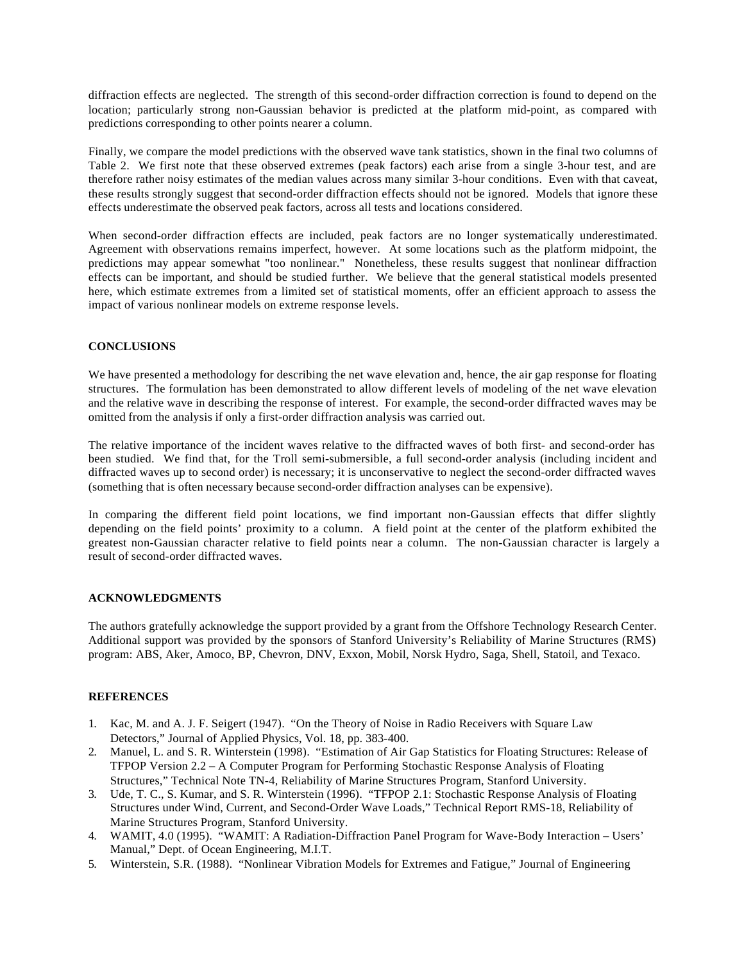diffraction effects are neglected. The strength of this second-order diffraction correction is found to depend on the location; particularly strong non-Gaussian behavior is predicted at the platform mid-point, as compared with predictions corresponding to other points nearer a column.

Finally, we compare the model predictions with the observed wave tank statistics, shown in the final two columns of Table 2. We first note that these observed extremes (peak factors) each arise from a single 3-hour test, and are therefore rather noisy estimates of the median values across many similar 3-hour conditions. Even with that caveat, these results strongly suggest that second-order diffraction effects should not be ignored. Models that ignore these effects underestimate the observed peak factors, across all tests and locations considered.

When second-order diffraction effects are included, peak factors are no longer systematically underestimated. Agreement with observations remains imperfect, however. At some locations such as the platform midpoint, the predictions may appear somewhat "too nonlinear." Nonetheless, these results suggest that nonlinear diffraction effects can be important, and should be studied further. We believe that the general statistical models presented here, which estimate extremes from a limited set of statistical moments, offer an efficient approach to assess the impact of various nonlinear models on extreme response levels.

# **CONCLUSIONS**

We have presented a methodology for describing the net wave elevation and, hence, the air gap response for floating structures. The formulation has been demonstrated to allow different levels of modeling of the net wave elevation and the relative wave in describing the response of interest. For example, the second-order diffracted waves may be omitted from the analysis if only a first-order diffraction analysis was carried out.

The relative importance of the incident waves relative to the diffracted waves of both first- and second-order has been studied. We find that, for the Troll semi-submersible, a full second-order analysis (including incident and diffracted waves up to second order) is necessary; it is unconservative to neglect the second-order diffracted waves (something that is often necessary because second-order diffraction analyses can be expensive).

In comparing the different field point locations, we find important non-Gaussian effects that differ slightly depending on the field points' proximity to a column. A field point at the center of the platform exhibited the greatest non-Gaussian character relative to field points near a column. The non-Gaussian character is largely a result of second-order diffracted waves.

# **ACKNOWLEDGMENTS**

The authors gratefully acknowledge the support provided by a grant from the Offshore Technology Research Center. Additional support was provided by the sponsors of Stanford University's Reliability of Marine Structures (RMS) program: ABS, Aker, Amoco, BP, Chevron, DNV, Exxon, Mobil, Norsk Hydro, Saga, Shell, Statoil, and Texaco.

# **REFERENCES**

- 1. Kac, M. and A. J. F. Seigert (1947). "On the Theory of Noise in Radio Receivers with Square Law Detectors," Journal of Applied Physics, Vol. 18, pp. 383-400.
- 2. Manuel, L. and S. R. Winterstein (1998). "Estimation of Air Gap Statistics for Floating Structures: Release of TFPOP Version 2.2 – A Computer Program for Performing Stochastic Response Analysis of Floating Structures," Technical Note TN-4, Reliability of Marine Structures Program, Stanford University.
- 3. Ude, T. C., S. Kumar, and S. R. Winterstein (1996). "TFPOP 2.1: Stochastic Response Analysis of Floating Structures under Wind, Current, and Second-Order Wave Loads," Technical Report RMS-18, Reliability of Marine Structures Program, Stanford University.
- 4. WAMIT, 4.0 (1995). "WAMIT: A Radiation-Diffraction Panel Program for Wave-Body Interaction Users' Manual," Dept. of Ocean Engineering, M.I.T.
- 5. Winterstein, S.R. (1988). "Nonlinear Vibration Models for Extremes and Fatigue," Journal of Engineering